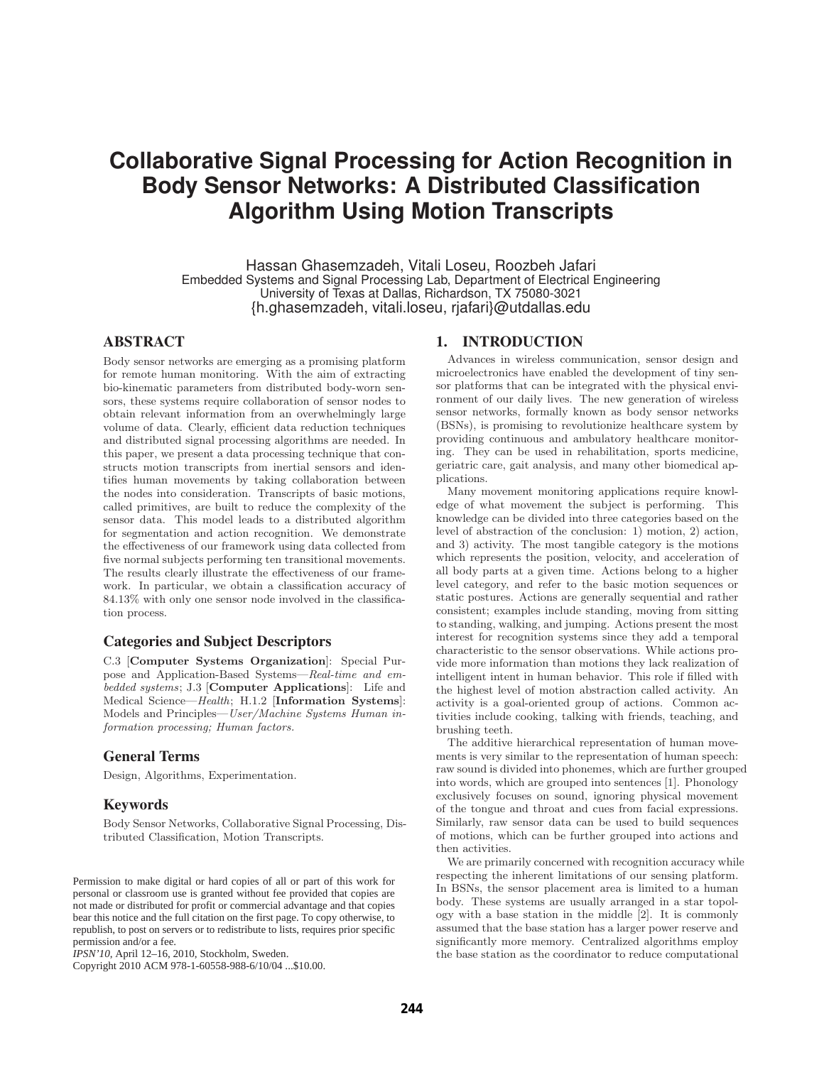# **Collaborative Signal Processing for Action Recognition in Body Sensor Networks: A Distributed Classification Algorithm Using Motion Transcripts**

Hassan Ghasemzadeh, Vitali Loseu, Roozbeh Jafari Embedded Systems and Signal Processing Lab, Department of Electrical Engineering University of Texas at Dallas, Richardson, TX 75080-3021 {h.ghasemzadeh, vitali.loseu, rjafari}@utdallas.edu

# ABSTRACT

Body sensor networks are emerging as a promising platform for remote human monitoring. With the aim of extracting bio-kinematic parameters from distributed body-worn sensors, these systems require collaboration of sensor nodes to obtain relevant information from an overwhelmingly large volume of data. Clearly, efficient data reduction techniques and distributed signal processing algorithms are needed. In this paper, we present a data processing technique that constructs motion transcripts from inertial sensors and identifies human movements by taking collaboration between the nodes into consideration. Transcripts of basic motions, called primitives, are built to reduce the complexity of the sensor data. This model leads to a distributed algorithm for segmentation and action recognition. We demonstrate the effectiveness of our framework using data collected from five normal subjects performing ten transitional movements. The results clearly illustrate the effectiveness of our framework. In particular, we obtain a classification accuracy of 84.13% with only one sensor node involved in the classification process.

# Categories and Subject Descriptors

C.3 [**Computer Systems Organization**]: Special Purpose and Application-Based Systems—Real-time and embedded systems; J.3 [**Computer Applications**]: Life and Medical Science—Health; H.1.2 [**Information Systems**]: Models and Principles—User/Machine Systems Human information processing; Human factors.

#### General Terms

Design, Algorithms, Experimentation.

## Keywords

Body Sensor Networks, Collaborative Signal Processing, Distributed Classification, Motion Transcripts.

Copyright 2010 ACM 978-1-60558-988-6/10/04 ...\$10.00.

# 1. INTRODUCTION

Advances in wireless communication, sensor design and microelectronics have enabled the development of tiny sensor platforms that can be integrated with the physical environment of our daily lives. The new generation of wireless sensor networks, formally known as body sensor networks (BSNs), is promising to revolutionize healthcare system by providing continuous and ambulatory healthcare monitoring. They can be used in rehabilitation, sports medicine, geriatric care, gait analysis, and many other biomedical applications.

Many movement monitoring applications require knowledge of what movement the subject is performing. This knowledge can be divided into three categories based on the level of abstraction of the conclusion: 1) motion, 2) action, and 3) activity. The most tangible category is the motions which represents the position, velocity, and acceleration of all body parts at a given time. Actions belong to a higher level category, and refer to the basic motion sequences or static postures. Actions are generally sequential and rather consistent; examples include standing, moving from sitting to standing, walking, and jumping. Actions present the most interest for recognition systems since they add a temporal characteristic to the sensor observations. While actions provide more information than motions they lack realization of intelligent intent in human behavior. This role if filled with the highest level of motion abstraction called activity. An activity is a goal-oriented group of actions. Common activities include cooking, talking with friends, teaching, and brushing teeth.

The additive hierarchical representation of human movements is very similar to the representation of human speech: raw sound is divided into phonemes, which are further grouped into words, which are grouped into sentences [1]. Phonology exclusively focuses on sound, ignoring physical movement of the tongue and throat and cues from facial expressions. Similarly, raw sensor data can be used to build sequences of motions, which can be further grouped into actions and then activities.

We are primarily concerned with recognition accuracy while respecting the inherent limitations of our sensing platform. In BSNs, the sensor placement area is limited to a human body. These systems are usually arranged in a star topology with a base station in the middle [2]. It is commonly assumed that the base station has a larger power reserve and significantly more memory. Centralized algorithms employ the base station as the coordinator to reduce computational

Permission to make digital or hard copies of all or part of this work for personal or classroom use is granted without fee provided that copies are not made or distributed for profit or commercial advantage and that copies bear this notice and the full citation on the first page. To copy otherwise, to republish, to post on servers or to redistribute to lists, requires prior specific permission and/or a fee.

*IPSN'10*, April 12–16, 2010, Stockholm, Sweden.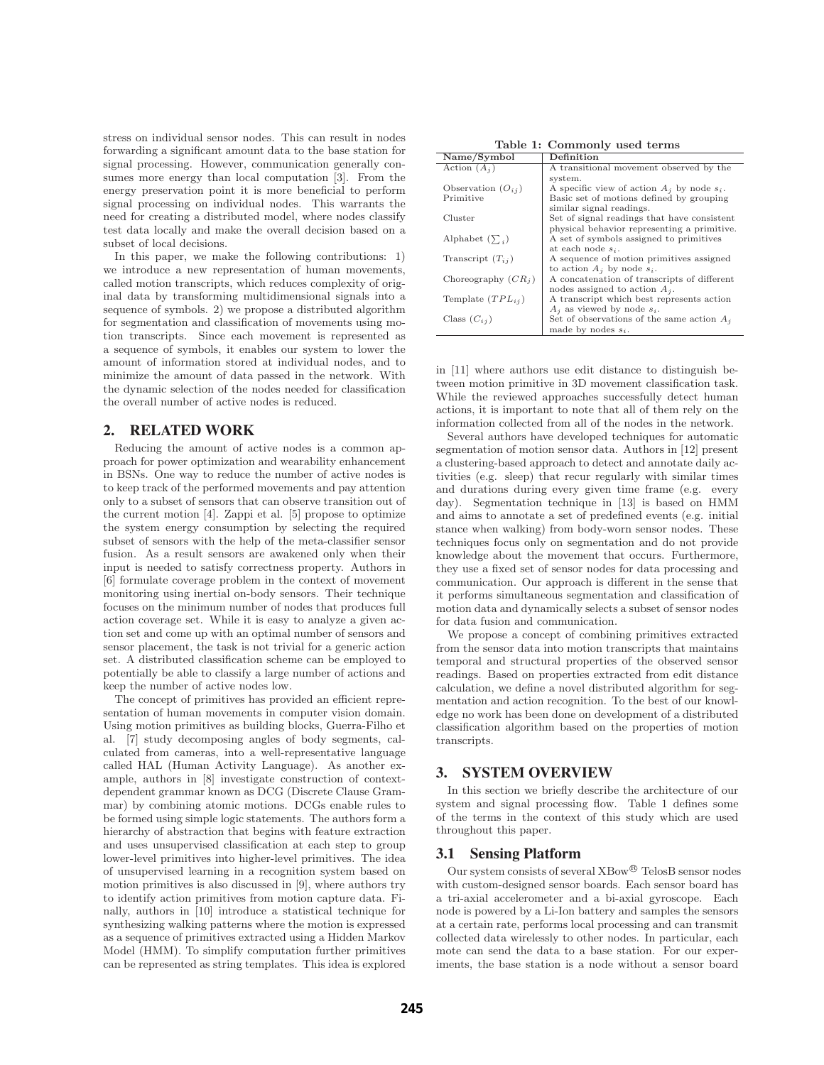stress on individual sensor nodes. This can result in nodes forwarding a significant amount data to the base station for signal processing. However, communication generally consumes more energy than local computation [3]. From the energy preservation point it is more beneficial to perform signal processing on individual nodes. This warrants the need for creating a distributed model, where nodes classify test data locally and make the overall decision based on a subset of local decisions.

In this paper, we make the following contributions: 1) we introduce a new representation of human movements, called motion transcripts, which reduces complexity of original data by transforming multidimensional signals into a sequence of symbols. 2) we propose a distributed algorithm for segmentation and classification of movements using motion transcripts. Since each movement is represented as a sequence of symbols, it enables our system to lower the amount of information stored at individual nodes, and to minimize the amount of data passed in the network. With the dynamic selection of the nodes needed for classification the overall number of active nodes is reduced.

# 2. RELATED WORK

Reducing the amount of active nodes is a common approach for power optimization and wearability enhancement in BSNs. One way to reduce the number of active nodes is to keep track of the performed movements and pay attention only to a subset of sensors that can observe transition out of the current motion [4]. Zappi et al. [5] propose to optimize the system energy consumption by selecting the required subset of sensors with the help of the meta-classifier sensor fusion. As a result sensors are awakened only when their input is needed to satisfy correctness property. Authors in [6] formulate coverage problem in the context of movement monitoring using inertial on-body sensors. Their technique focuses on the minimum number of nodes that produces full action coverage set. While it is easy to analyze a given action set and come up with an optimal number of sensors and sensor placement, the task is not trivial for a generic action set. A distributed classification scheme can be employed to potentially be able to classify a large number of actions and keep the number of active nodes low.

The concept of primitives has provided an efficient representation of human movements in computer vision domain. Using motion primitives as building blocks, Guerra-Filho et al. [7] study decomposing angles of body segments, calculated from cameras, into a well-representative language called HAL (Human Activity Language). As another example, authors in [8] investigate construction of contextdependent grammar known as DCG (Discrete Clause Grammar) by combining atomic motions. DCGs enable rules to be formed using simple logic statements. The authors form a hierarchy of abstraction that begins with feature extraction and uses unsupervised classification at each step to group lower-level primitives into higher-level primitives. The idea of unsupervised learning in a recognition system based on motion primitives is also discussed in [9], where authors try to identify action primitives from motion capture data. Finally, authors in [10] introduce a statistical technique for synthesizing walking patterns where the motion is expressed as a sequence of primitives extracted using a Hidden Markov Model (HMM). To simplify computation further primitives can be represented as string templates. This idea is explored

**Table 1: Commonly used terms**

| Name/Symbol            | Definition                                      |
|------------------------|-------------------------------------------------|
| Action $(A_i)$         | A transitional movement observed by the         |
|                        | system.                                         |
| Observation $(O_{ij})$ | A specific view of action $A_i$ by node $s_i$ . |
| Primitive              | Basic set of motions defined by grouping        |
|                        | similar signal readings.                        |
| Cluster                | Set of signal readings that have consistent     |
|                        | physical behavior representing a primitive.     |
| Alphabet $(\sum_i)$    | A set of symbols assigned to primitives         |
|                        | at each node $s_i$ .                            |
| Transcript $(T_{ij})$  | A sequence of motion primitives assigned        |
|                        | to action $A_i$ by node $s_i$ .                 |
| Choreography $(CR_i)$  | A concatenation of transcripts of different     |
|                        | nodes assigned to action $A_i$ .                |
| Template $(TPL_{ij})$  | A transcript which best represents action       |
|                        | $A_i$ as viewed by node $s_i$ .                 |
| Class $(C_{ii})$       | Set of observations of the same action $A_i$    |
|                        | made by nodes $s_i$ .                           |

in [11] where authors use edit distance to distinguish between motion primitive in 3D movement classification task. While the reviewed approaches successfully detect human actions, it is important to note that all of them rely on the information collected from all of the nodes in the network.

Several authors have developed techniques for automatic segmentation of motion sensor data. Authors in [12] present a clustering-based approach to detect and annotate daily activities (e.g. sleep) that recur regularly with similar times and durations during every given time frame (e.g. every day). Segmentation technique in [13] is based on HMM and aims to annotate a set of predefined events (e.g. initial stance when walking) from body-worn sensor nodes. These techniques focus only on segmentation and do not provide knowledge about the movement that occurs. Furthermore, they use a fixed set of sensor nodes for data processing and communication. Our approach is different in the sense that it performs simultaneous segmentation and classification of motion data and dynamically selects a subset of sensor nodes for data fusion and communication.

We propose a concept of combining primitives extracted from the sensor data into motion transcripts that maintains temporal and structural properties of the observed sensor readings. Based on properties extracted from edit distance calculation, we define a novel distributed algorithm for segmentation and action recognition. To the best of our knowledge no work has been done on development of a distributed classification algorithm based on the properties of motion transcripts.

# 3. SYSTEM OVERVIEW

In this section we briefly describe the architecture of our system and signal processing flow. Table 1 defines some of the terms in the context of this study which are used throughout this paper.

## 3.1 Sensing Platform

Our system consists of several XBow<sup>®</sup> TelosB sensor nodes with custom-designed sensor boards. Each sensor board has a tri-axial accelerometer and a bi-axial gyroscope. Each node is powered by a Li-Ion battery and samples the sensors at a certain rate, performs local processing and can transmit collected data wirelessly to other nodes. In particular, each mote can send the data to a base station. For our experiments, the base station is a node without a sensor board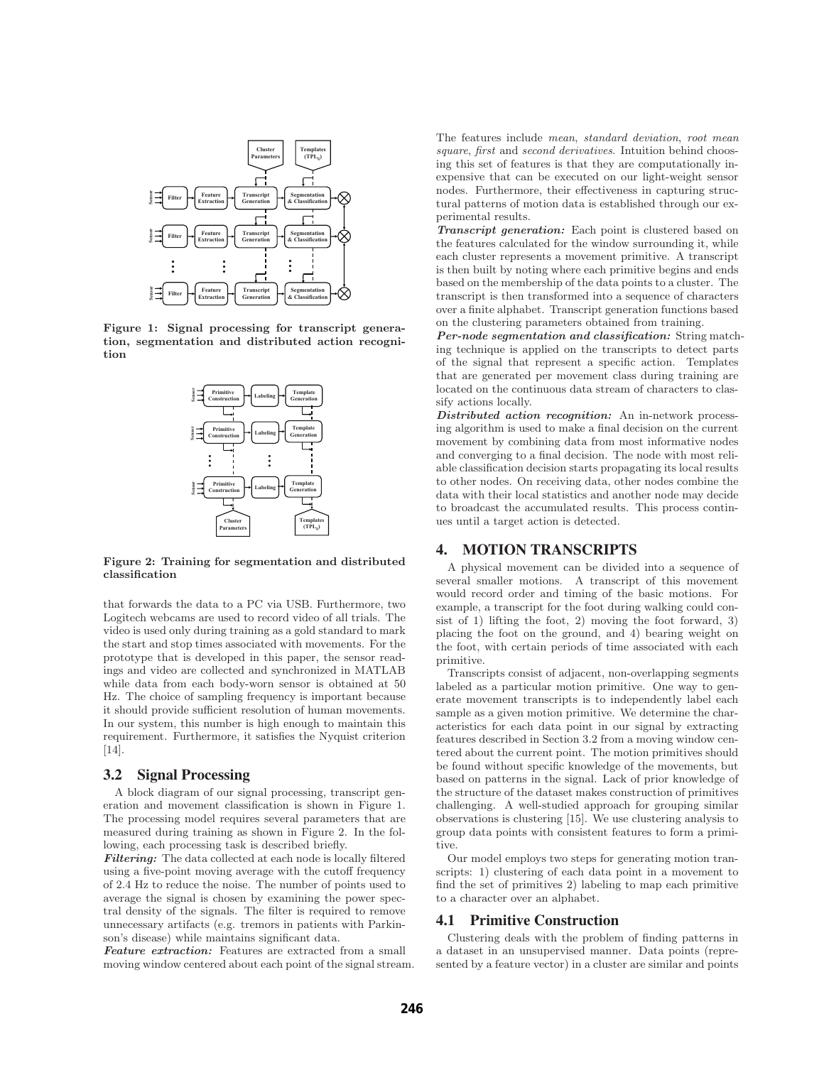

**Figure 1: Signal processing for transcript generation, segmentation and distributed action recognition**



**Figure 2: Training for segmentation and distributed classification**

that forwards the data to a PC via USB. Furthermore, two Logitech webcams are used to record video of all trials. The video is used only during training as a gold standard to mark the start and stop times associated with movements. For the prototype that is developed in this paper, the sensor readings and video are collected and synchronized in MATLAB while data from each body-worn sensor is obtained at 50 Hz. The choice of sampling frequency is important because it should provide sufficient resolution of human movements. In our system, this number is high enough to maintain this requirement. Furthermore, it satisfies the Nyquist criterion [14].

## 3.2 Signal Processing

A block diagram of our signal processing, transcript generation and movement classification is shown in Figure 1. The processing model requires several parameters that are measured during training as shown in Figure 2. In the following, each processing task is described briefly.

*Filtering:* The data collected at each node is locally filtered using a five-point moving average with the cutoff frequency of 2.4 Hz to reduce the noise. The number of points used to average the signal is chosen by examining the power spectral density of the signals. The filter is required to remove unnecessary artifacts (e.g. tremors in patients with Parkinson's disease) while maintains significant data.

*Feature extraction:* Features are extracted from a small moving window centered about each point of the signal stream. The features include mean, standard deviation, root mean square, first and second derivatives. Intuition behind choosing this set of features is that they are computationally inexpensive that can be executed on our light-weight sensor nodes. Furthermore, their effectiveness in capturing structural patterns of motion data is established through our experimental results.

*Transcript generation:* Each point is clustered based on the features calculated for the window surrounding it, while each cluster represents a movement primitive. A transcript is then built by noting where each primitive begins and ends based on the membership of the data points to a cluster. The transcript is then transformed into a sequence of characters over a finite alphabet. Transcript generation functions based on the clustering parameters obtained from training.

*Per-node segmentation and classification:* String matching technique is applied on the transcripts to detect parts of the signal that represent a specific action. Templates that are generated per movement class during training are located on the continuous data stream of characters to classify actions locally.

*Distributed action recognition:* An in-network processing algorithm is used to make a final decision on the current movement by combining data from most informative nodes and converging to a final decision. The node with most reliable classification decision starts propagating its local results to other nodes. On receiving data, other nodes combine the data with their local statistics and another node may decide to broadcast the accumulated results. This process continues until a target action is detected.

## 4. MOTION TRANSCRIPTS

A physical movement can be divided into a sequence of several smaller motions. A transcript of this movement would record order and timing of the basic motions. For example, a transcript for the foot during walking could consist of 1) lifting the foot, 2) moving the foot forward, 3) placing the foot on the ground, and 4) bearing weight on the foot, with certain periods of time associated with each primitive.

Transcripts consist of adjacent, non-overlapping segments labeled as a particular motion primitive. One way to generate movement transcripts is to independently label each sample as a given motion primitive. We determine the characteristics for each data point in our signal by extracting features described in Section 3.2 from a moving window centered about the current point. The motion primitives should be found without specific knowledge of the movements, but based on patterns in the signal. Lack of prior knowledge of the structure of the dataset makes construction of primitives challenging. A well-studied approach for grouping similar observations is clustering [15]. We use clustering analysis to group data points with consistent features to form a primitive.

Our model employs two steps for generating motion transcripts: 1) clustering of each data point in a movement to find the set of primitives 2) labeling to map each primitive to a character over an alphabet.

## 4.1 Primitive Construction

Clustering deals with the problem of finding patterns in a dataset in an unsupervised manner. Data points (represented by a feature vector) in a cluster are similar and points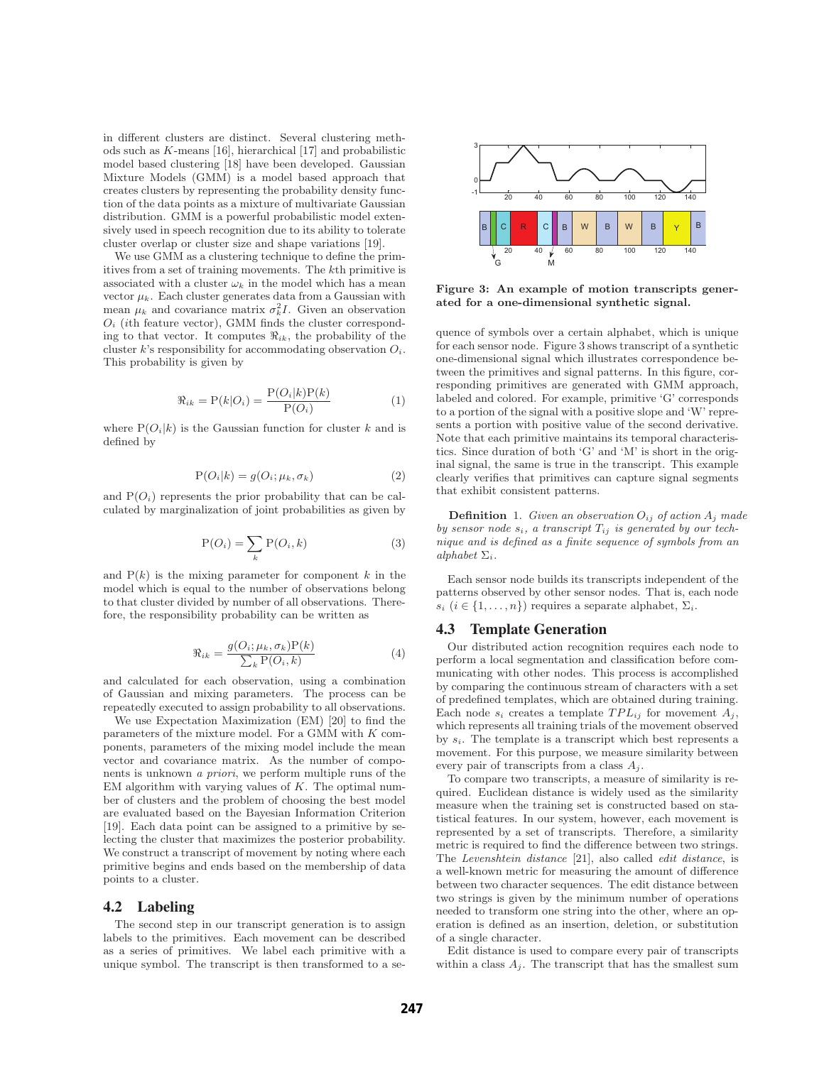in different clusters are distinct. Several clustering methods such as K-means [16], hierarchical [17] and probabilistic model based clustering [18] have been developed. Gaussian Mixture Models (GMM) is a model based approach that creates clusters by representing the probability density function of the data points as a mixture of multivariate Gaussian distribution. GMM is a powerful probabilistic model extensively used in speech recognition due to its ability to tolerate cluster overlap or cluster size and shape variations [19].

We use GMM as a clustering technique to define the primitives from a set of training movements. The kth primitive is associated with a cluster  $\omega_k$  in the model which has a mean vector  $\mu_k$ . Each cluster generates data from a Gaussian with mean  $\mu_k$  and covariance matrix  $\sigma_k^2 I$ . Given an observation  $\Omega_k$  (it is fasture vector). GMM finds the cluster correspond- $O_i$  (ith feature vector), GMM finds the cluster corresponding to that vector. It computes  $\Re_{ik}$ , the probability of the cluster k's responsibility for accommodating observation  $O_i$ . This probability is given by

$$
\Re_{ik} = P(k|O_i) = \frac{P(O_i|k)P(k)}{P(O_i)}
$$
\n(1)

where  $P(O_i|k)$  is the Gaussian function for cluster k and is defined by

$$
P(O_i|k) = g(O_i; \mu_k, \sigma_k)
$$
\n(2)

and  $P(O_i)$  represents the prior probability that can be calculated by marginalization of joint probabilities as given by

$$
P(O_i) = \sum_{k} P(O_i, k)
$$
 (3)

and  $P(k)$  is the mixing parameter for component k in the model which is equal to the number of observations belong to that cluster divided by number of all observations. Therefore, the responsibility probability can be written as

$$
\Re_{ik} = \frac{g(O_i; \mu_k, \sigma_k)P(k)}{\sum_k P(O_i, k)}
$$
(4)

and calculated for each observation, using a combination of Gaussian and mixing parameters. The process can be repeatedly executed to assign probability to all observations.

We use Expectation Maximization (EM) [20] to find the parameters of the mixture model. For a GMM with  $K$  components, parameters of the mixing model include the mean vector and covariance matrix. As the number of components is unknown a priori, we perform multiple runs of the EM algorithm with varying values of  $K$ . The optimal number of clusters and the problem of choosing the best model are evaluated based on the Bayesian Information Criterion [19]. Each data point can be assigned to a primitive by selecting the cluster that maximizes the posterior probability. We construct a transcript of movement by noting where each primitive begins and ends based on the membership of data points to a cluster.

## 4.2 Labeling

The second step in our transcript generation is to assign labels to the primitives. Each movement can be described as a series of primitives. We label each primitive with a unique symbol. The transcript is then transformed to a se-



**Figure 3: An example of motion transcripts generated for a one-dimensional synthetic signal.**

quence of symbols over a certain alphabet, which is unique for each sensor node. Figure 3 shows transcript of a synthetic one-dimensional signal which illustrates correspondence between the primitives and signal patterns. In this figure, corresponding primitives are generated with GMM approach, labeled and colored. For example, primitive 'G' corresponds to a portion of the signal with a positive slope and 'W' represents a portion with positive value of the second derivative. Note that each primitive maintains its temporal characteristics. Since duration of both 'G' and 'M' is short in the original signal, the same is true in the transcript. This example clearly verifies that primitives can capture signal segments that exhibit consistent patterns.

**Definition** 1. Given an observation  $O_{ij}$  of action  $A_j$  made by sensor node  $s_i$ , a transcript  $T_{ij}$  is generated by our technique and is defined as a finite sequence of symbols from an alphabet  $\Sigma_i$ .

Each sensor node builds its transcripts independent of the patterns observed by other sensor nodes. That is, each node  $s_i$   $(i \in \{1, \ldots, n\})$  requires a separate alphabet,  $\Sigma_i$ .

## 4.3 Template Generation

Our distributed action recognition requires each node to perform a local segmentation and classification before communicating with other nodes. This process is accomplished by comparing the continuous stream of characters with a set of predefined templates, which are obtained during training. Each node  $s_i$  creates a template  $TPL_{ij}$  for movement  $A_i$ , which represents all training trials of the movement observed by  $s_i$ . The template is a transcript which best represents a movement. For this purpose, we measure similarity between every pair of transcripts from a class  $A_i$ .

To compare two transcripts, a measure of similarity is required. Euclidean distance is widely used as the similarity measure when the training set is constructed based on statistical features. In our system, however, each movement is represented by a set of transcripts. Therefore, a similarity metric is required to find the difference between two strings. The Levenshtein distance [21], also called edit distance, is a well-known metric for measuring the amount of difference between two character sequences. The edit distance between two strings is given by the minimum number of operations needed to transform one string into the other, where an operation is defined as an insertion, deletion, or substitution of a single character.

Edit distance is used to compare every pair of transcripts within a class  $A_i$ . The transcript that has the smallest sum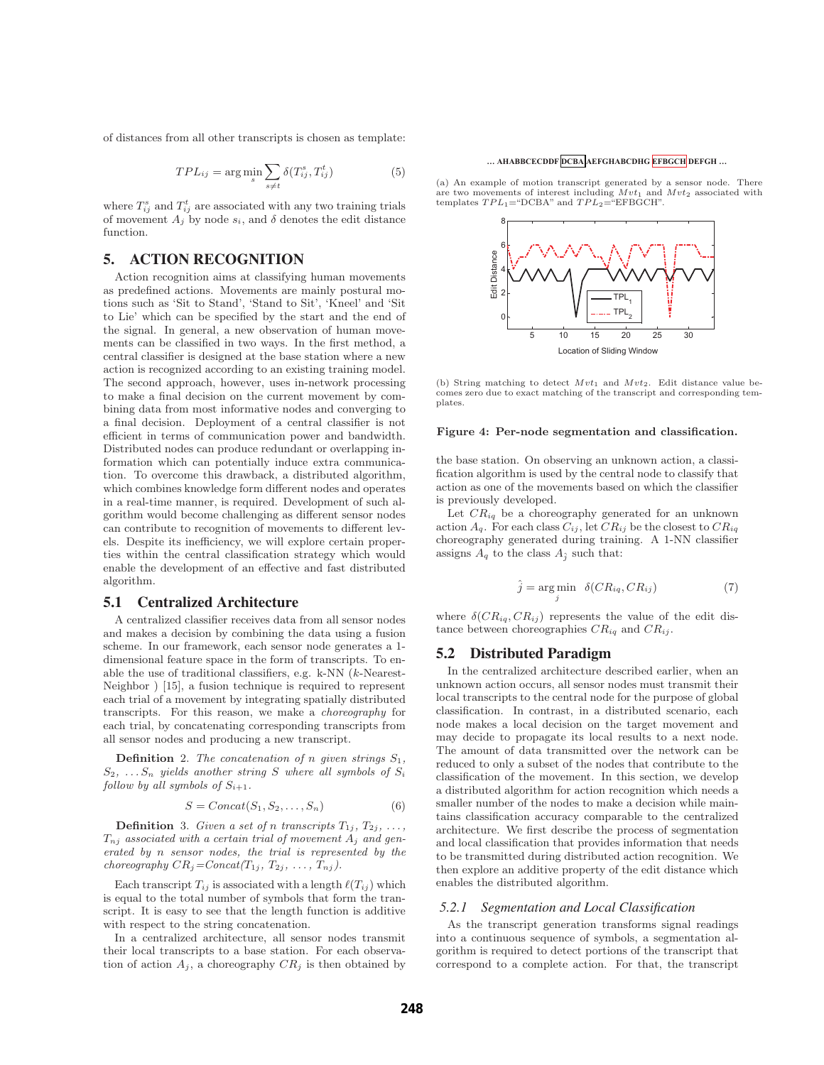of distances from all other transcripts is chosen as template:

$$
TPL_{ij} = \arg\min_{s} \sum_{s \neq t} \delta(T_{ij}^s, T_{ij}^t)
$$
 (5)

where  $T_{ij}^s$  and  $T_{ij}^t$  are associated with any two training trials<br>of movement  $A_i$ , by node s, and  $\delta$  denotes the edit distance of movement  $A_i$  by node  $s_i$ , and  $\delta$  denotes the edit distance function.

# 5. ACTION RECOGNITION

Action recognition aims at classifying human movements as predefined actions. Movements are mainly postural motions such as 'Sit to Stand', 'Stand to Sit', 'Kneel' and 'Sit to Lie' which can be specified by the start and the end of the signal. In general, a new observation of human movements can be classified in two ways. In the first method, a central classifier is designed at the base station where a new action is recognized according to an existing training model. The second approach, however, uses in-network processing to make a final decision on the current movement by combining data from most informative nodes and converging to a final decision. Deployment of a central classifier is not efficient in terms of communication power and bandwidth. Distributed nodes can produce redundant or overlapping information which can potentially induce extra communication. To overcome this drawback, a distributed algorithm, which combines knowledge form different nodes and operates in a real-time manner, is required. Development of such algorithm would become challenging as different sensor nodes can contribute to recognition of movements to different levels. Despite its inefficiency, we will explore certain properties within the central classification strategy which would enable the development of an effective and fast distributed algorithm.

#### 5.1 Centralized Architecture

A centralized classifier receives data from all sensor nodes and makes a decision by combining the data using a fusion scheme. In our framework, each sensor node generates a 1 dimensional feature space in the form of transcripts. To enable the use of traditional classifiers, e.g. k-NN (k-Nearest-Neighbor ) [15], a fusion technique is required to represent each trial of a movement by integrating spatially distributed transcripts. For this reason, we make a choreography for each trial, by concatenating corresponding transcripts from all sensor nodes and producing a new transcript.

**Definition** 2. The concatenation of n given strings  $S_1$ ,  $S_2, \ldots S_n$  yields another string S where all symbols of  $S_i$ follow by all symbols of  $S_{i+1}$ .

$$
S = Concat(S_1, S_2, \dots, S_n)
$$
 (6)

**Definition** 3. Given a set of n transcripts  $T_{1j}$ ,  $T_{2j}$ , ...,  $T_{nj}$  associated with a certain trial of movement  $A_j$  and generated by n sensor nodes, the trial is represented by the choreography  $CR_j=Concat(T_{1j}, T_{2j}, \ldots, T_{nj}).$ 

Each transcript  $T_{ij}$  is associated with a length  $\ell(T_{ij})$  which is equal to the total number of symbols that form the transcript. It is easy to see that the length function is additive with respect to the string concatenation.

In a centralized architecture, all sensor nodes transmit their local transcripts to a base station. For each observation of action  $A_j$ , a choreography  $CR_j$  is then obtained by

#### ... AHABBCECDDF|DCBA|AEFGHABCDHG|EFBGCH|DEFGH ...

(a) An example of motion transcript generated by a sensor node. There are two movements of interest including  $Mvt_1$  and  $Mvt_2$  associated with templates  $TPL_1$ ="DCBA" and  $TPL_2$ ="EFBGCH".



(b) String matching to detect  $Mvt_1$  and  $Mvt_2$ . Edit distance value becomes zero due to exact matching of the transcript and corresponding templates.

#### **Figure 4: Per-node segmentation and classification.**

the base station. On observing an unknown action, a classification algorithm is used by the central node to classify that action as one of the movements based on which the classifier is previously developed.

Let  $CR_{iq}$  be a choreography generated for an unknown action  $A_q$ . For each class  $C_{ij}$ , let  $CR_{ij}$  be the closest to  $CR_{iq}$ choreography generated during training. A 1-NN classifier assigns  $A_q$  to the class  $A_{\hat{i}}$  such that:

$$
\hat{j} = \underset{j}{\text{arg min}} \quad \delta(CR_{iq}, CR_{ij}) \tag{7}
$$

where  $\delta(CR_{iq},CR_{ij})$  represents the value of the edit distance between choreographies  $CR_{iq}$  and  $CR_{ij}$ .

## 5.2 Distributed Paradigm

In the centralized architecture described earlier, when an unknown action occurs, all sensor nodes must transmit their local transcripts to the central node for the purpose of global classification. In contrast, in a distributed scenario, each node makes a local decision on the target movement and may decide to propagate its local results to a next node. The amount of data transmitted over the network can be reduced to only a subset of the nodes that contribute to the classification of the movement. In this section, we develop a distributed algorithm for action recognition which needs a smaller number of the nodes to make a decision while maintains classification accuracy comparable to the centralized architecture. We first describe the process of segmentation and local classification that provides information that needs to be transmitted during distributed action recognition. We then explore an additive property of the edit distance which enables the distributed algorithm.

#### *5.2.1 Segmentation and Local Classification*

As the transcript generation transforms signal readings into a continuous sequence of symbols, a segmentation algorithm is required to detect portions of the transcript that correspond to a complete action. For that, the transcript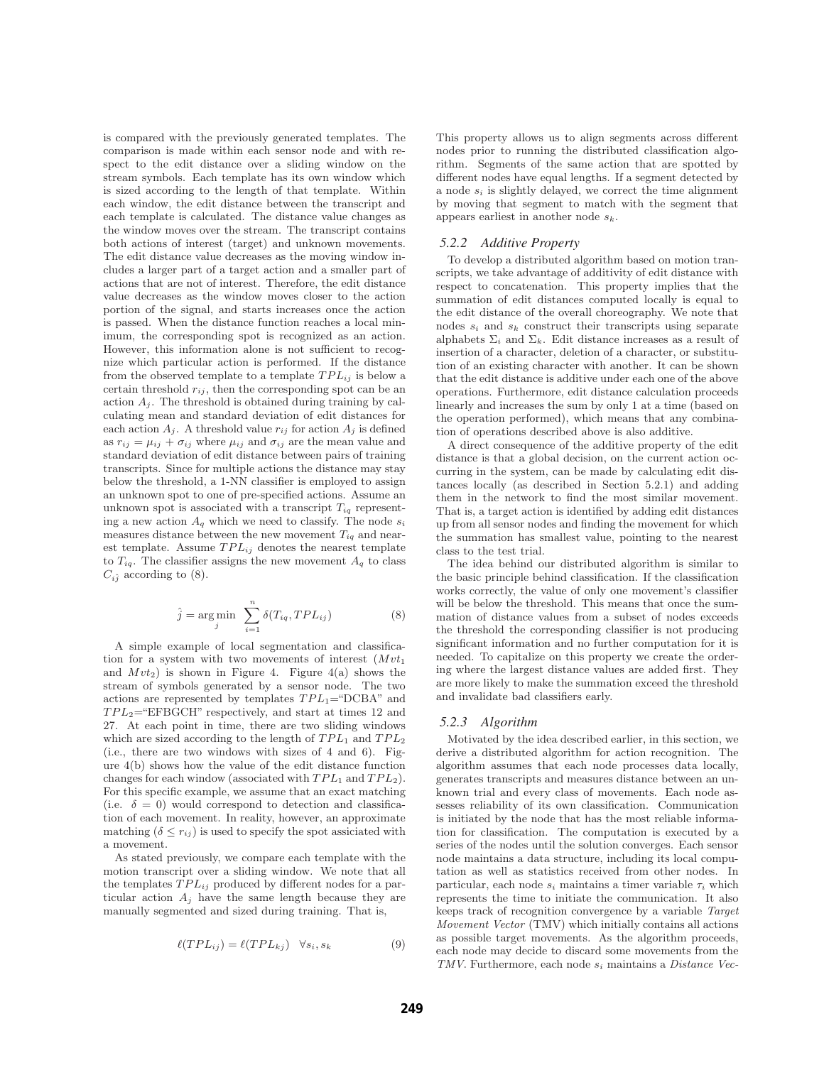is compared with the previously generated templates. The comparison is made within each sensor node and with respect to the edit distance over a sliding window on the stream symbols. Each template has its own window which is sized according to the length of that template. Within each window, the edit distance between the transcript and each template is calculated. The distance value changes as the window moves over the stream. The transcript contains both actions of interest (target) and unknown movements. The edit distance value decreases as the moving window includes a larger part of a target action and a smaller part of actions that are not of interest. Therefore, the edit distance value decreases as the window moves closer to the action portion of the signal, and starts increases once the action is passed. When the distance function reaches a local minimum, the corresponding spot is recognized as an action. However, this information alone is not sufficient to recognize which particular action is performed. If the distance from the observed template to a template  $TPL_{ij}$  is below a certain threshold  $r_{ij}$ , then the corresponding spot can be an action  $A_i$ . The threshold is obtained during training by calculating mean and standard deviation of edit distances for each action  $A_j$ . A threshold value  $r_{ij}$  for action  $A_j$  is defined as  $r_{ij} = \mu_{ij} + \sigma_{ij}$  where  $\mu_{ij}$  and  $\sigma_{ij}$  are the mean value and standard deviation of edit distance between pairs of training transcripts. Since for multiple actions the distance may stay below the threshold, a 1-NN classifier is employed to assign an unknown spot to one of pre-specified actions. Assume an unknown spot is associated with a transcript  $T_{iq}$  representing a new action  $A_q$  which we need to classify. The node  $s_i$ measures distance between the new movement  $T_{iq}$  and nearest template. Assume  $TPL_{ij}$  denotes the nearest template to  $T_{iq}$ . The classifier assigns the new movement  $A_q$  to class  $C_{i\hat{i}}$  according to (8).

$$
\hat{j} = \underset{j}{\text{arg min}} \sum_{i=1}^{n} \delta(T_{iq}, TPL_{ij})
$$
\n(8)

A simple example of local segmentation and classification for a system with two movements of interest  $(Mvt<sub>1</sub>)$ and  $Mvt_2$ ) is shown in Figure 4. Figure 4(a) shows the stream of symbols generated by a sensor node. The two actions are represented by templates  $TPL_1="DCBA"$  and  $TPL_2$ ="EFBGCH" respectively, and start at times 12 and 27. At each point in time, there are two sliding windows which are sized according to the length of  $TPL_1$  and  $TPL_2$ (i.e., there are two windows with sizes of 4 and 6). Figure 4(b) shows how the value of the edit distance function changes for each window (associated with  $TPL_1$  and  $TPL_2$ ). For this specific example, we assume that an exact matching (i.e.  $\delta = 0$ ) would correspond to detection and classification of each movement. In reality, however, an approximate matching  $(\delta \leq r_{ij})$  is used to specify the spot assiciated with a movement.

As stated previously, we compare each template with the motion transcript over a sliding window. We note that all the templates  $TPL_{ij}$  produced by different nodes for a particular action  $A_i$  have the same length because they are manually segmented and sized during training. That is,

$$
\ell(TPL_{ij}) = \ell(TPL_{kj}) \quad \forall s_i, s_k \tag{9}
$$

This property allows us to align segments across different nodes prior to running the distributed classification algorithm. Segments of the same action that are spotted by different nodes have equal lengths. If a segment detected by a node  $s_i$  is slightly delayed, we correct the time alignment by moving that segment to match with the segment that appears earliest in another node  $s_k$ .

#### *5.2.2 Additive Property*

To develop a distributed algorithm based on motion transcripts, we take advantage of additivity of edit distance with respect to concatenation. This property implies that the summation of edit distances computed locally is equal to the edit distance of the overall choreography. We note that nodes  $s_i$  and  $s_k$  construct their transcripts using separate alphabets  $\Sigma_i$  and  $\Sigma_k$ . Edit distance increases as a result of insertion of a character, deletion of a character, or substitution of an existing character with another. It can be shown that the edit distance is additive under each one of the above operations. Furthermore, edit distance calculation proceeds linearly and increases the sum by only 1 at a time (based on the operation performed), which means that any combination of operations described above is also additive.

A direct consequence of the additive property of the edit distance is that a global decision, on the current action occurring in the system, can be made by calculating edit distances locally (as described in Section 5.2.1) and adding them in the network to find the most similar movement. That is, a target action is identified by adding edit distances up from all sensor nodes and finding the movement for which the summation has smallest value, pointing to the nearest class to the test trial.

The idea behind our distributed algorithm is similar to the basic principle behind classification. If the classification works correctly, the value of only one movement's classifier will be below the threshold. This means that once the summation of distance values from a subset of nodes exceeds the threshold the corresponding classifier is not producing significant information and no further computation for it is needed. To capitalize on this property we create the ordering where the largest distance values are added first. They are more likely to make the summation exceed the threshold and invalidate bad classifiers early.

#### *5.2.3 Algorithm*

Motivated by the idea described earlier, in this section, we derive a distributed algorithm for action recognition. The algorithm assumes that each node processes data locally, generates transcripts and measures distance between an unknown trial and every class of movements. Each node assesses reliability of its own classification. Communication is initiated by the node that has the most reliable information for classification. The computation is executed by a series of the nodes until the solution converges. Each sensor node maintains a data structure, including its local computation as well as statistics received from other nodes. In particular, each node  $s_i$  maintains a timer variable  $\tau_i$  which represents the time to initiate the communication. It also keeps track of recognition convergence by a variable Target Movement Vector (TMV) which initially contains all actions as possible target movements. As the algorithm proceeds, each node may decide to discard some movements from the TMV. Furthermore, each node  $s_i$  maintains a Distance Vec-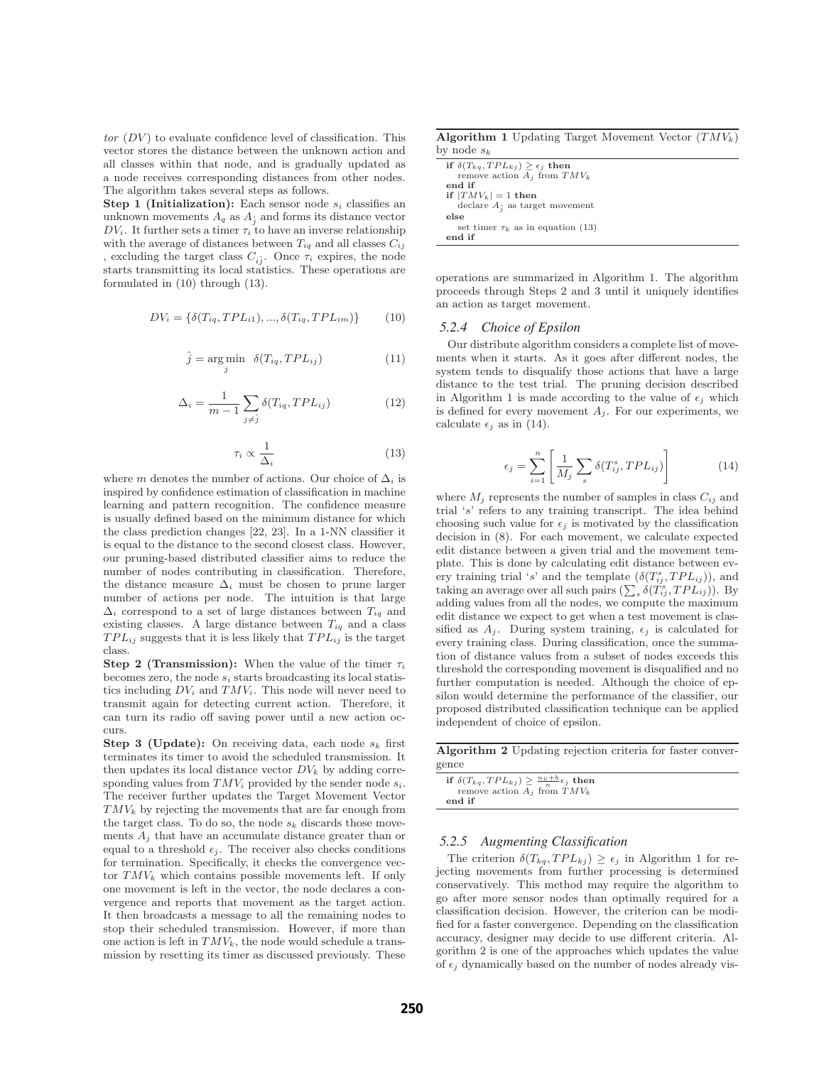$tor$  ( $DV$ ) to evaluate confidence level of classification. This vector stores the distance between the unknown action and all classes within that node, and is gradually updated as a node receives corresponding distances from other nodes. The algorithm takes several steps as follows.

**Step 1 (Initialization):** Each sensor node  $s_i$  classifies an unknown movements  $A_q$  as  $A_{\hat{i}}$  and forms its distance vector  $DV_i$ . It further sets a timer  $\tau_i$  to have an inverse relationship with the average of distances between  $T_{iq}$  and all classes  $C_{ij}$ , excluding the target class  $C_{i\hat{i}}$ . Once  $\tau_i$  expires, the node starts transmitting its local statistics. These operations are formulated in (10) through (13).

$$
DV_i = \{ \delta(T_{iq}, TPL_{i1}), ..., \delta(T_{iq}, TPL_{im}) \}
$$
 (10)

$$
\hat{j} = \underset{j}{\text{arg min}} \quad \delta(T_{iq}, TPL_{ij}) \tag{11}
$$

$$
\Delta_i = \frac{1}{m-1} \sum_{j \neq \hat{j}} \delta(T_{iq}, TPL_{ij}) \tag{12}
$$

$$
\tau_i \propto \frac{1}{\Delta_i} \tag{13}
$$

where m denotes the number of actions. Our choice of  $\Delta_i$  is inspired by confidence estimation of classification in machine learning and pattern recognition. The confidence measure is usually defined based on the minimum distance for which the class prediction changes [22, 23]. In a 1-NN classifier it is equal to the distance to the second closest class. However, our pruning-based distributed classifier aims to reduce the number of nodes contributing in classification. Therefore, the distance measure  $\Delta_i$  must be chosen to prune larger number of actions per node. The intuition is that large  $\Delta_i$  correspond to a set of large distances between  $T_{iq}$  and existing classes. A large distance between  $T_{iq}$  and a class  $TPL_{ij}$  suggests that it is less likely that  $TPL_{ij}$  is the target class.

**Step 2 (Transmission):** When the value of the timer  $\tau_i$ becomes zero, the node  $s_i$  starts broadcasting its local statistics including  $DV_i$  and  $TMV_i$ . This node will never need to transmit again for detecting current action. Therefore, it can turn its radio off saving power until a new action occurs.

**Step 3 (Update):** On receiving data, each node  $s_k$  first terminates its timer to avoid the scheduled transmission. It then updates its local distance vector  $DV_k$  by adding corresponding values from  $TMV_i$  provided by the sender node  $s_i$ . The receiver further updates the Target Movement Vector  $T M V_k$  by rejecting the movements that are far enough from the target class. To do so, the node  $s_k$  discards those movements  $A_j$  that have an accumulate distance greater than or equal to a threshold  $\epsilon_j$ . The receiver also checks conditions for termination. Specifically, it checks the convergence vector  $TMV_k$  which contains possible movements left. If only one movement is left in the vector, the node declares a convergence and reports that movement as the target action. It then broadcasts a message to all the remaining nodes to stop their scheduled transmission. However, if more than one action is left in  $TMV_k$ , the node would schedule a transmission by resetting its timer as discussed previously. These

| Algorithm 1 Updating Target Movement Vector $(TMV_k)$                                                                                                                                                                                                                                                                                                       |  |  |  |
|-------------------------------------------------------------------------------------------------------------------------------------------------------------------------------------------------------------------------------------------------------------------------------------------------------------------------------------------------------------|--|--|--|
| by node $s_k$                                                                                                                                                                                                                                                                                                                                               |  |  |  |
| $\mathcal{L}$ $\mathcal{L}$ $\mathcal{L}$ $\mathcal{L}$ $\mathcal{L}$ $\mathcal{L}$ $\mathcal{L}$ $\mathcal{L}$ $\mathcal{L}$ $\mathcal{L}$ $\mathcal{L}$ $\mathcal{L}$ $\mathcal{L}$ $\mathcal{L}$ $\mathcal{L}$ $\mathcal{L}$ $\mathcal{L}$ $\mathcal{L}$ $\mathcal{L}$ $\mathcal{L}$ $\mathcal{L}$ $\mathcal{L}$ $\mathcal{L}$ $\mathcal{L}$ $\mathcal{$ |  |  |  |

| if $\delta(T_{kq},TPL_{kj}) \geq \epsilon_j$ then |
|---------------------------------------------------|
| remove action $A_i$ from $TMV_k$                  |
| end if                                            |
| if $ TMV_k =1$ then                               |
| declare $A_{\hat{i}}$ as target movement          |
| else                                              |
| set timer $\tau_k$ as in equation (13)            |
| end if                                            |

operations are summarized in Algorithm 1. The algorithm proceeds through Steps 2 and 3 until it uniquely identifies an action as target movement.

#### *5.2.4 Choice of Epsilon*

Our distribute algorithm considers a complete list of movements when it starts. As it goes after different nodes, the system tends to disqualify those actions that have a large distance to the test trial. The pruning decision described in Algorithm 1 is made according to the value of  $\epsilon_i$  which is defined for every movement  $A_i$ . For our experiments, we calculate  $\epsilon_i$  as in (14).

$$
\epsilon_j = \sum_{i=1}^n \left[ \frac{1}{M_j} \sum_s \delta(T_{ij}^s, TPL_{ij}) \right]
$$
 (14)

where  $M_j$  represents the number of samples in class  $C_{ij}$  and trial 's' refers to any training transcript. The idea behind choosing such value for  $\epsilon_j$  is motivated by the classification decision in (8). For each movement, we calculate expected edit distance between a given trial and the movement template. This is done by calculating edit distance between every training trial 's' and the template  $(\delta(T_{ij}^s, TPL_{ij}))$ , and taking an average over all such pairs  $(\sum \delta(T_{ij}^s, TPL_{ij}))$ . By taking an average over all such pairs  $(\sum_s \delta(\dot{T}_{ij}^s, TPL_{ij}))$ . By adding values from all the nodes, we compute the maximum edit distance we expect to get when a test movement is classified as  $A_j$ . During system training,  $\epsilon_j$  is calculated for every training class. During classification, once the summation of distance values from a subset of nodes exceeds this threshold the corresponding movement is disqualified and no further computation is needed. Although the choice of epsilon would determine the performance of the classifier, our proposed distributed classification technique can be applied independent of choice of epsilon.

**Algorithm 2** Updating rejection criteria for faster convergence

| if $\delta(T_{kq}, TPL_{kj}) \geq \frac{n_v+b}{n} \epsilon_j$ then |
|--------------------------------------------------------------------|
| remove action $A_i$ from $TMV_k$                                   |
| end if                                                             |

# *5.2.5 Augmenting Classification*

The criterion  $\delta(T_{kq},TPL_{kj}) \geq \epsilon_j$  in Algorithm 1 for rejecting movements from further processing is determined conservatively. This method may require the algorithm to go after more sensor nodes than optimally required for a classification decision. However, the criterion can be modified for a faster convergence. Depending on the classification accuracy, designer may decide to use different criteria. Algorithm 2 is one of the approaches which updates the value of  $\epsilon_i$  dynamically based on the number of nodes already vis-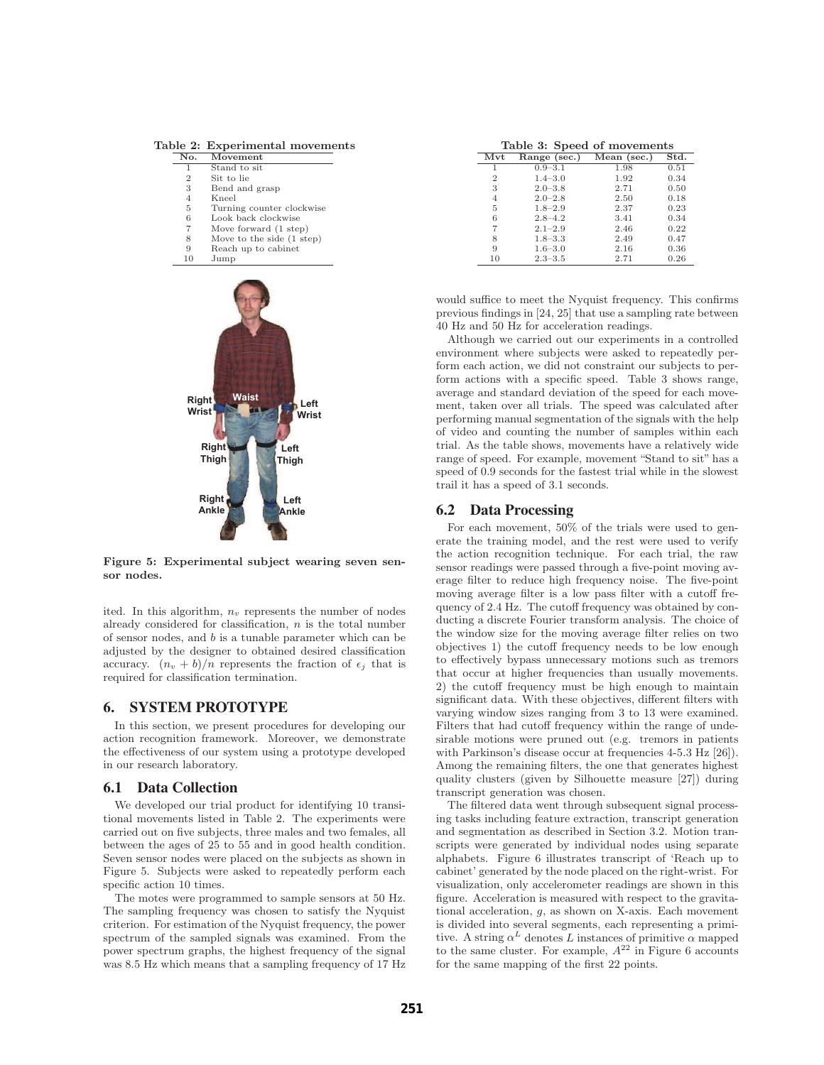**Table 2: Experimental movements**

| No.            | Movement                            |
|----------------|-------------------------------------|
| 1              | Stand to sit                        |
| $\overline{2}$ | Sit to lie                          |
| 3              | Bend and grasp                      |
| $\overline{4}$ | Kneel                               |
| 5              | Turning counter clockwise           |
| 6              | Look back clockwise                 |
| 7              | Move forward (1 step)               |
| 8              | Move to the side $(1 \text{ step})$ |
| 9              | Reach up to cabinet                 |
|                | Jump                                |



**Figure 5: Experimental subject wearing seven sensor nodes.**

ited. In this algorithm,  $n_v$  represents the number of nodes already considered for classification,  $n$  is the total number of sensor nodes, and b is a tunable parameter which can be adjusted by the designer to obtained desired classification accuracy.  $(n_v + b)/n$  represents the fraction of  $\epsilon_i$  that is required for classification termination.

## 6. SYSTEM PROTOTYPE

In this section, we present procedures for developing our action recognition framework. Moreover, we demonstrate the effectiveness of our system using a prototype developed in our research laboratory.

## 6.1 Data Collection

We developed our trial product for identifying 10 transitional movements listed in Table 2. The experiments were carried out on five subjects, three males and two females, all between the ages of 25 to 55 and in good health condition. Seven sensor nodes were placed on the subjects as shown in Figure 5. Subjects were asked to repeatedly perform each specific action 10 times.

The motes were programmed to sample sensors at 50 Hz. The sampling frequency was chosen to satisfy the Nyquist criterion. For estimation of the Nyquist frequency, the power spectrum of the sampled signals was examined. From the power spectrum graphs, the highest frequency of the signal was 8.5 Hz which means that a sampling frequency of 17 Hz

|                | Table 3: Speed of movements |             |      |
|----------------|-----------------------------|-------------|------|
| Mvt            | Range (sec.)                | Mean (sec.) | Std. |
|                | $0.9 - 3.1$                 | 1.98        | 0.51 |
| $\overline{2}$ | $1.4 - 3.0$                 | 1.92        | 0.34 |
| 3              | $2.0 - 3.8$                 | 2.71        | 0.50 |
| 4              | $2.0 - 2.8$                 | 2.50        | 0.18 |
| 5              | $1.8 - 2.9$                 | 2.37        | 0.23 |
| 6              | $2.8 - 4.2$                 | 3.41        | 0.34 |
| 7              | $2.1 - 2.9$                 | 2.46        | 0.22 |
| 8              | $1.8 - 3.3$                 | 2.49        | 0.47 |
| 9              | $1.6 - 3.0$                 | 2.16        | 0.36 |
| 10             | $2.3 - 3.5$                 | 2.71        | 0.26 |

would suffice to meet the Nyquist frequency. This confirms previous findings in [24, 25] that use a sampling rate between 40 Hz and 50 Hz for acceleration readings.

Although we carried out our experiments in a controlled environment where subjects were asked to repeatedly perform each action, we did not constraint our subjects to perform actions with a specific speed. Table 3 shows range, average and standard deviation of the speed for each movement, taken over all trials. The speed was calculated after performing manual segmentation of the signals with the help of video and counting the number of samples within each trial. As the table shows, movements have a relatively wide range of speed. For example, movement "Stand to sit" has a speed of 0.9 seconds for the fastest trial while in the slowest trail it has a speed of 3.1 seconds.

## 6.2 Data Processing

For each movement, 50% of the trials were used to generate the training model, and the rest were used to verify the action recognition technique. For each trial, the raw sensor readings were passed through a five-point moving average filter to reduce high frequency noise. The five-point moving average filter is a low pass filter with a cutoff frequency of 2.4 Hz. The cutoff frequency was obtained by conducting a discrete Fourier transform analysis. The choice of the window size for the moving average filter relies on two objectives 1) the cutoff frequency needs to be low enough to effectively bypass unnecessary motions such as tremors that occur at higher frequencies than usually movements. 2) the cutoff frequency must be high enough to maintain significant data. With these objectives, different filters with varying window sizes ranging from 3 to 13 were examined. Filters that had cutoff frequency within the range of undesirable motions were pruned out (e.g. tremors in patients with Parkinson's disease occur at frequencies 4-5.3 Hz [26]). Among the remaining filters, the one that generates highest quality clusters (given by Silhouette measure [27]) during transcript generation was chosen.

The filtered data went through subsequent signal processing tasks including feature extraction, transcript generation and segmentation as described in Section 3.2. Motion transcripts were generated by individual nodes using separate alphabets. Figure 6 illustrates transcript of 'Reach up to cabinet' generated by the node placed on the right-wrist. For visualization, only accelerometer readings are shown in this figure. Acceleration is measured with respect to the gravitational acceleration, g, as shown on X-axis. Each movement is divided into several segments, each representing a primitive. A string  $\alpha^L$  denotes L instances of primitive  $\alpha$  mapped to the same cluster. For example,  $A^{22}$  in Figure 6 accounts for the same mapping of the first 22 points.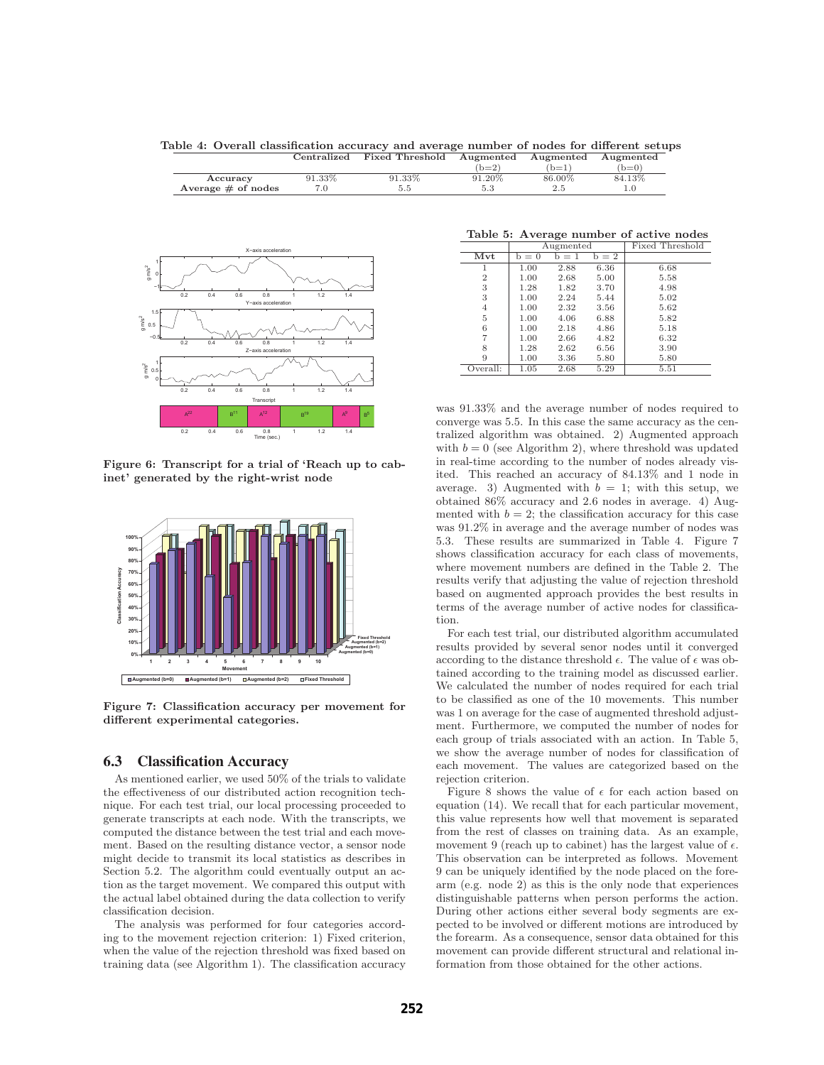**Table 4: Overall classification accuracy and average number of nodes for different setups**

|                       | Centralized | Fixed Threshold | $\rm{Augmented}$ | Augmented | Augmented |
|-----------------------|-------------|-----------------|------------------|-----------|-----------|
|                       |             |                 | $h=2$            | $b=1$     | $b=0$     |
| Accuracy              | 91.33%      | 91.33%          | 91.20%           | 86.00%    | 84.13%    |
| Average $\#$ of nodes |             | 5.5             | 5.3              |           |           |



**Figure 6: Transcript for a trial of 'Reach up to cabinet' generated by the right-wrist node**



**Figure 7: Classification accuracy per movement for different experimental categories.**

## 6.3 Classification Accuracy

As mentioned earlier, we used 50% of the trials to validate the effectiveness of our distributed action recognition technique. For each test trial, our local processing proceeded to generate transcripts at each node. With the transcripts, we computed the distance between the test trial and each movement. Based on the resulting distance vector, a sensor node might decide to transmit its local statistics as describes in Section 5.2. The algorithm could eventually output an action as the target movement. We compared this output with the actual label obtained during the data collection to verify classification decision.

The analysis was performed for four categories according to the movement rejection criterion: 1) Fixed criterion, when the value of the rejection threshold was fixed based on training data (see Algorithm 1). The classification accuracy

**Table 5: Average number of active nodes**

|                |             | Augmented | Fixed Threshold |      |
|----------------|-------------|-----------|-----------------|------|
| Mvt            | ${\rm b}=0$ | $b = 1$   | $b = 2$         |      |
|                | 1.00        | 2.88      | 6.36            | 6.68 |
| $\overline{2}$ | 1.00        | 2.68      | 5.00            | 5.58 |
| 3              | 1.28        | 1.82      | 3.70            | 4.98 |
| 3              | 1.00        | 2.24      | 5.44            | 5.02 |
| 4              | 1.00        | 2.32      | 3.56            | 5.62 |
| 5              | 1.00        | 4.06      | 6.88            | 5.82 |
| 6              | 1.00        | 2.18      | 4.86            | 5.18 |
|                | 1.00        | 2.66      | 4.82            | 6.32 |
| 8              | 1.28        | 2.62      | 6.56            | 3.90 |
| 9              | 1.00        | 3.36      | 5.80            | 5.80 |
| Overall:       | 1.05        | 2.68      | 5.29            | 5.51 |

was 91.33% and the average number of nodes required to converge was 5.5. In this case the same accuracy as the centralized algorithm was obtained. 2) Augmented approach with  $b = 0$  (see Algorithm 2), where threshold was updated in real-time according to the number of nodes already visited. This reached an accuracy of 84.13% and 1 node in average. 3) Augmented with  $b = 1$ ; with this setup, we obtained 86% accuracy and 2.6 nodes in average. 4) Augmented with  $b = 2$ ; the classification accuracy for this case was 91.2% in average and the average number of nodes was <sup>5</sup>.3. These results are summarized in Table 4. Figure 7 shows classification accuracy for each class of movements, where movement numbers are defined in the Table 2. The results verify that adjusting the value of rejection threshold based on augmented approach provides the best results in terms of the average number of active nodes for classification.

For each test trial, our distributed algorithm accumulated results provided by several senor nodes until it converged according to the distance threshold  $\epsilon$ . The value of  $\epsilon$  was obtained according to the training model as discussed earlier. We calculated the number of nodes required for each trial to be classified as one of the 10 movements. This number was 1 on average for the case of augmented threshold adjustment. Furthermore, we computed the number of nodes for each group of trials associated with an action. In Table 5, we show the average number of nodes for classification of each movement. The values are categorized based on the rejection criterion.

Figure 8 shows the value of  $\epsilon$  for each action based on equation (14). We recall that for each particular movement, this value represents how well that movement is separated from the rest of classes on training data. As an example, movement 9 (reach up to cabinet) has the largest value of  $\epsilon$ . This observation can be interpreted as follows. Movement 9 can be uniquely identified by the node placed on the forearm (e.g. node 2) as this is the only node that experiences distinguishable patterns when person performs the action. During other actions either several body segments are expected to be involved or different motions are introduced by the forearm. As a consequence, sensor data obtained for this movement can provide different structural and relational information from those obtained for the other actions.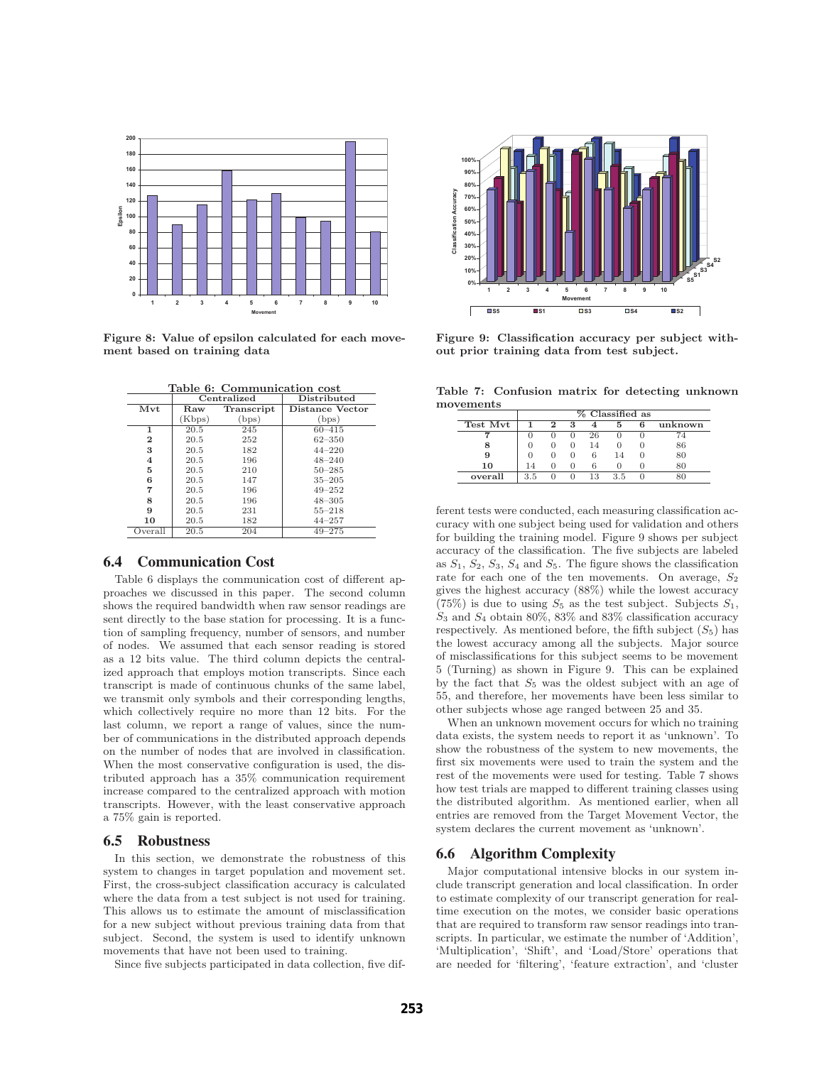

**Figure 8: Value of epsilon calculated for each movement based on training data**

|                | Table 6: Communication cost |             |                 |  |  |  |  |  |  |
|----------------|-----------------------------|-------------|-----------------|--|--|--|--|--|--|
|                |                             | Centralized | Distributed     |  |  |  |  |  |  |
| Mvt.           | Raw                         | Transcript  | Distance Vector |  |  |  |  |  |  |
|                | (Kbps)                      | (bps)       | (bps)           |  |  |  |  |  |  |
| 1              | 20.5                        | 245         | $60 - 415$      |  |  |  |  |  |  |
| $\mathbf{2}$   | 20.5                        | 252         | $62 - 350$      |  |  |  |  |  |  |
| 3              | 20.5                        | 182         | $44 - 220$      |  |  |  |  |  |  |
| $\overline{4}$ | 20.5                        | 196         | $48 - 240$      |  |  |  |  |  |  |
| 5              | 20.5                        | 210         | $50 - 285$      |  |  |  |  |  |  |
| 6              | 20.5                        | 147         | $35 - 205$      |  |  |  |  |  |  |
| 7              | 20.5                        | 196         | $49 - 252$      |  |  |  |  |  |  |
| 8              | 20.5                        | 196         | $48 - 305$      |  |  |  |  |  |  |
| 9              | 20.5                        | 231         | $55 - 218$      |  |  |  |  |  |  |
| 10             | 20.5                        | 182         | $44 - 257$      |  |  |  |  |  |  |
| Overall        | 20.5                        | 204         | $49 - 275$      |  |  |  |  |  |  |

# 6.4 Communication Cost

Table 6 displays the communication cost of different approaches we discussed in this paper. The second column shows the required bandwidth when raw sensor readings are sent directly to the base station for processing. It is a function of sampling frequency, number of sensors, and number of nodes. We assumed that each sensor reading is stored as a 12 bits value. The third column depicts the centralized approach that employs motion transcripts. Since each transcript is made of continuous chunks of the same label, we transmit only symbols and their corresponding lengths, which collectively require no more than 12 bits. For the last column, we report a range of values, since the number of communications in the distributed approach depends on the number of nodes that are involved in classification. When the most conservative configuration is used, the distributed approach has a 35% communication requirement increase compared to the centralized approach with motion transcripts. However, with the least conservative approach a 75% gain is reported.

#### 6.5 Robustness

In this section, we demonstrate the robustness of this system to changes in target population and movement set. First, the cross-subject classification accuracy is calculated where the data from a test subject is not used for training. This allows us to estimate the amount of misclassification for a new subject without previous training data from that subject. Second, the system is used to identify unknown movements that have not been used to training.

Since five subjects participated in data collection, five dif-



**Figure 9: Classification accuracy per subject without prior training data from test subject.**

**Table 7: Confusion matrix for detecting unknown movements**

|          | % Classified as |  |   |    |     |  |         |
|----------|-----------------|--|---|----|-----|--|---------|
| Test Myt |                 |  | 3 |    |     |  | unknown |
|          |                 |  |   | 26 |     |  | 74      |
|          |                 |  |   | 14 |     |  | 86      |
|          |                 |  |   | 6  | 14  |  | 80      |
| 10       | 14              |  |   |    |     |  | 80      |
| overall  | 3.5             |  |   | 13 | 3.5 |  |         |

ferent tests were conducted, each measuring classification accuracy with one subject being used for validation and others for building the training model. Figure 9 shows per subject accuracy of the classification. The five subjects are labeled as  $S_1$ ,  $S_2$ ,  $S_3$ ,  $S_4$  and  $S_5$ . The figure shows the classification rate for each one of the ten movements. On average,  $S_2$ gives the highest accuracy (88%) while the lowest accuracy  $(75\%)$  is due to using  $S_5$  as the test subject. Subjects  $S_1$ ,  $S_3$  and  $S_4$  obtain 80%, 83% and 83% classification accuracy respectively. As mentioned before, the fifth subject  $(S_5)$  has the lowest accuracy among all the subjects. Major source of misclassifications for this subject seems to be movement 5 (Turning) as shown in Figure 9. This can be explained by the fact that  $S_5$  was the oldest subject with an age of 55, and therefore, her movements have been less similar to other subjects whose age ranged between 25 and 35.

When an unknown movement occurs for which no training data exists, the system needs to report it as 'unknown'. To show the robustness of the system to new movements, the first six movements were used to train the system and the rest of the movements were used for testing. Table 7 shows how test trials are mapped to different training classes using the distributed algorithm. As mentioned earlier, when all entries are removed from the Target Movement Vector, the system declares the current movement as 'unknown'.

## 6.6 Algorithm Complexity

Major computational intensive blocks in our system include transcript generation and local classification. In order to estimate complexity of our transcript generation for realtime execution on the motes, we consider basic operations that are required to transform raw sensor readings into transcripts. In particular, we estimate the number of 'Addition', 'Multiplication', 'Shift', and 'Load/Store' operations that are needed for 'filtering', 'feature extraction', and 'cluster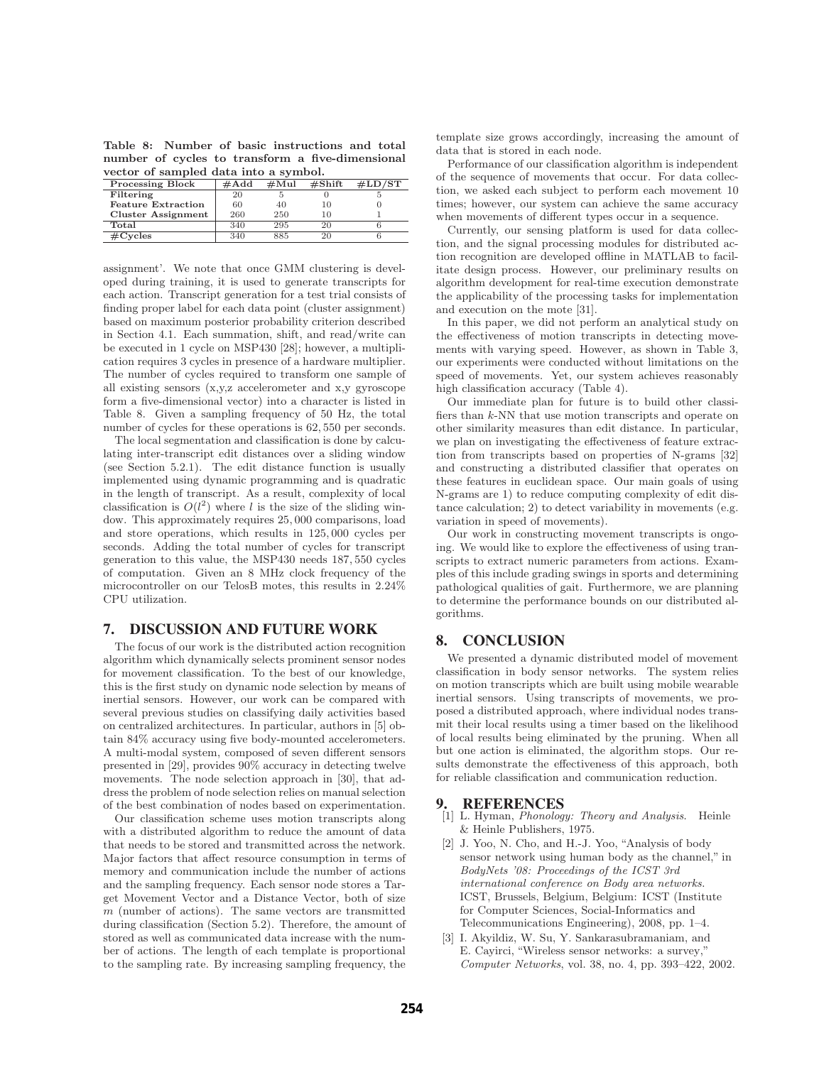**Table 8: Number of basic instructions and total number of cycles to transform a five-dimensional vector of sampled data into a symbol.**

| <b>Processing Block</b>      | $\#Add$ | #Mul | #Shift | $\#LD/ST$ |
|------------------------------|---------|------|--------|-----------|
| Filtering                    | 20      |      |        |           |
| <b>Feature Extraction</b>    | 60      | 40   | 10     |           |
| <b>Cluster Assignment</b>    | 260     | 250  | 10     |           |
| Total                        | 340     | 295  | 20     |           |
| $\#\overline{\text{Cycles}}$ | 340     | 885  | 20     |           |
|                              |         |      |        |           |

assignment'. We note that once GMM clustering is developed during training, it is used to generate transcripts for each action. Transcript generation for a test trial consists of finding proper label for each data point (cluster assignment) based on maximum posterior probability criterion described in Section 4.1. Each summation, shift, and read/write can be executed in 1 cycle on MSP430 [28]; however, a multiplication requires 3 cycles in presence of a hardware multiplier. The number of cycles required to transform one sample of all existing sensors (x,y,z accelerometer and x,y gyroscope form a five-dimensional vector) into a character is listed in Table 8. Given a sampling frequency of 50 Hz, the total number of cycles for these operations is 62, 550 per seconds.

The local segmentation and classification is done by calculating inter-transcript edit distances over a sliding window (see Section 5.2.1). The edit distance function is usually implemented using dynamic programming and is quadratic in the length of transcript. As a result, complexity of local classification is  $O(l^2)$  where l is the size of the sliding win-<br>dow. This approximately requires 25,000 comparisons, load dow. This approximately requires 25, 000 comparisons, load and store operations, which results in 125, 000 cycles per seconds. Adding the total number of cycles for transcript generation to this value, the MSP430 needs 187, 550 cycles of computation. Given an 8 MHz clock frequency of the microcontroller on our TelosB motes, this results in 2.24% CPU utilization.

## 7. DISCUSSION AND FUTURE WORK

The focus of our work is the distributed action recognition algorithm which dynamically selects prominent sensor nodes for movement classification. To the best of our knowledge, this is the first study on dynamic node selection by means of inertial sensors. However, our work can be compared with several previous studies on classifying daily activities based on centralized architectures. In particular, authors in [5] obtain 84% accuracy using five body-mounted accelerometers. A multi-modal system, composed of seven different sensors presented in [29], provides 90% accuracy in detecting twelve movements. The node selection approach in [30], that address the problem of node selection relies on manual selection of the best combination of nodes based on experimentation.

Our classification scheme uses motion transcripts along with a distributed algorithm to reduce the amount of data that needs to be stored and transmitted across the network. Major factors that affect resource consumption in terms of memory and communication include the number of actions and the sampling frequency. Each sensor node stores a Target Movement Vector and a Distance Vector, both of size  $m$  (number of actions). The same vectors are transmitted during classification (Section 5.2). Therefore, the amount of stored as well as communicated data increase with the number of actions. The length of each template is proportional to the sampling rate. By increasing sampling frequency, the

template size grows accordingly, increasing the amount of data that is stored in each node.

Performance of our classification algorithm is independent of the sequence of movements that occur. For data collection, we asked each subject to perform each movement 10 times; however, our system can achieve the same accuracy when movements of different types occur in a sequence.

Currently, our sensing platform is used for data collection, and the signal processing modules for distributed action recognition are developed offline in MATLAB to facilitate design process. However, our preliminary results on algorithm development for real-time execution demonstrate the applicability of the processing tasks for implementation and execution on the mote [31].

In this paper, we did not perform an analytical study on the effectiveness of motion transcripts in detecting movements with varying speed. However, as shown in Table 3, our experiments were conducted without limitations on the speed of movements. Yet, our system achieves reasonably high classification accuracy (Table 4).

Our immediate plan for future is to build other classifiers than k-NN that use motion transcripts and operate on other similarity measures than edit distance. In particular, we plan on investigating the effectiveness of feature extraction from transcripts based on properties of N-grams [32] and constructing a distributed classifier that operates on these features in euclidean space. Our main goals of using N-grams are 1) to reduce computing complexity of edit distance calculation; 2) to detect variability in movements (e.g. variation in speed of movements).

Our work in constructing movement transcripts is ongoing. We would like to explore the effectiveness of using transcripts to extract numeric parameters from actions. Examples of this include grading swings in sports and determining pathological qualities of gait. Furthermore, we are planning to determine the performance bounds on our distributed algorithms.

## 8. CONCLUSION

We presented a dynamic distributed model of movement classification in body sensor networks. The system relies on motion transcripts which are built using mobile wearable inertial sensors. Using transcripts of movements, we proposed a distributed approach, where individual nodes transmit their local results using a timer based on the likelihood of local results being eliminated by the pruning. When all but one action is eliminated, the algorithm stops. Our results demonstrate the effectiveness of this approach, both for reliable classification and communication reduction.

#### 9. REFERENCES

- [1] L. Hyman, Phonology: Theory and Analysis. Heinle & Heinle Publishers, 1975.
- [2] J. Yoo, N. Cho, and H.-J. Yoo, "Analysis of body sensor network using human body as the channel," in BodyNets '08: Proceedings of the ICST 3rd international conference on Body area networks. ICST, Brussels, Belgium, Belgium: ICST (Institute for Computer Sciences, Social-Informatics and Telecommunications Engineering), 2008, pp. 1–4.
- [3] I. Akyildiz, W. Su, Y. Sankarasubramaniam, and E. Cayirci, "Wireless sensor networks: a survey," Computer Networks, vol. 38, no. 4, pp. 393–422, 2002.